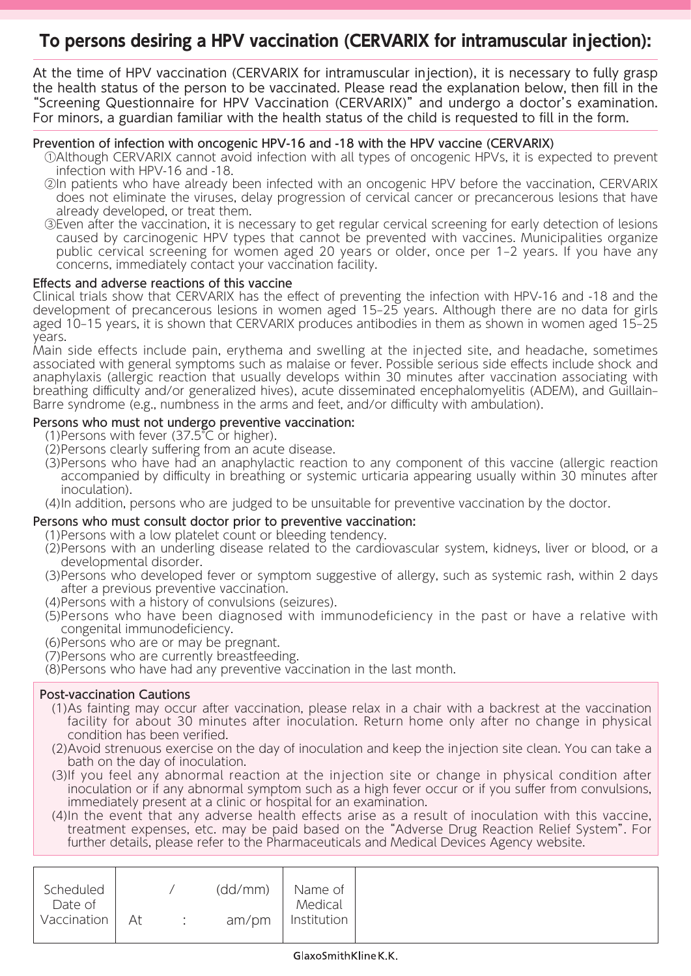## **To persons desiring a HPV vaccination (CERVARIX for intramuscular injection):**

At the time of HPV vaccination (CERVARIX for intramuscular injection), it is necessary to fully grasp the health status of the person to be vaccinated. Please read the explanation below, then fill in the "Screening Questionnaire for HPV Vaccination (CERVARIX)" and undergo a doctor's examination. For minors, a guardian familiar with the health status of the child is requested to fill in the form.

### Prevention of infection with oncogenic HPV-16 and -18 with the HPV vaccine (CERVARIX)

- ①Although CERVARIX cannot avoid infection with all types of oncogenic HPVs, it is expected to prevent infection with HPV-16 and -18.
- ②In patients who have already been infected with an oncogenic HPV before the vaccination, CERVARIX does not eliminate the viruses, delay progression of cervical cancer or precancerous lesions that have already developed, or treat them.
- ③Even after the vaccination, it is necessary to get regular cervical screening for early detection of lesions caused by carcinogenic HPV types that cannot be prevented with vaccines. Municipalities organize public cervical screening for women aged 20 years or older, once per 1–2 years. If you have any concerns, immediately contact your vaccination facility.

#### Effects and adverse reactions of this vaccine

Clinical trials show that CERVARIX has the effect of preventing the infection with HPV-16 and -18 and the development of precancerous lesions in women aged 15–25 years. Although there are no data for girls aged 10–15 years, it is shown that CERVARIX produces antibodies in them as shown in women aged 15–25 years.

Main side effects include pain, erythema and swelling at the injected site, and headache, sometimes associated with general symptoms such as malaise or fever. Possible serious side effects include shock and anaphylaxis (allergic reaction that usually develops within 30 minutes after vaccination associating with breathing difficulty and/or generalized hives), acute disseminated encephalomyelitis (ADEM), and Guillain– Barre syndrome (e.g., numbness in the arms and feet, and/or difficulty with ambulation).

#### Persons who must not undergo preventive vaccination:

(1)Persons with fever (37.5°C or higher).

- (2)Persons clearly suffering from an acute disease.
- (3)Persons who have had an anaphylactic reaction to any component of this vaccine (allergic reaction accompanied by difficulty in breathing or systemic urticaria appearing usually within 30 minutes after inoculation).
- (4)In addition, persons who are judged to be unsuitable for preventive vaccination by the doctor.

#### Persons who must consult doctor prior to preventive vaccination:

(1)Persons with a low platelet count or bleeding tendency.

- (2)Persons with an underling disease related to the cardiovascular system, kidneys, liver or blood, or a developmental disorder.
- (3)Persons who developed fever or symptom suggestive of allergy, such as systemic rash, within 2 days after a previous preventive vaccination.
- (4)Persons with a history of convulsions (seizures).
- (5)Persons who have been diagnosed with immunodeficiency in the past or have a relative with congenital immunodeficiency.
- (6)Persons who are or may be pregnant.

(7)Persons who are currently breastfeeding.

(8)Persons who have had any preventive vaccination in the last month.

#### Post-vaccination Cautions

- (1)As fainting may occur after vaccination, please relax in a chair with a backrest at the vaccination facility for about 30 minutes after inoculation. Return home only after no change in physical condition has been verified.
- (2)Avoid strenuous exercise on the day of inoculation and keep the injection site clean. You can take a bath on the day of inoculation.
- (3)If you feel any abnormal reaction at the injection site or change in physical condition after inoculation or if any abnormal symptom such as a high fever occur or if you suffer from convulsions, immediately present at a clinic or hospital for an examination.
- (4)In the event that any adverse health effects arise as a result of inoculation with this vaccine, treatment expenses, etc. may be paid based on the"Adverse Drug Reaction Relief System". For further details, please refer to the Pharmaceuticals and Medical Devices Agency website.

| Scheduled   |    | (dd/mm) | Name of     |
|-------------|----|---------|-------------|
| Date of     |    |         | Medical     |
| Vaccination | At | am/pm   | Institution |
|             |    |         |             |